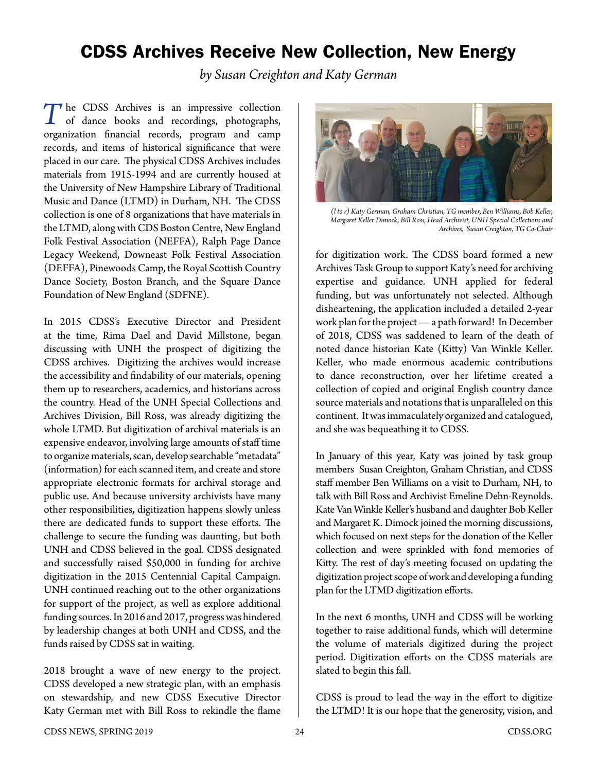## CDSS Archives Receive New Collection, New Energy

*by Susan Creighton and Katy German*

The CDSS Archives is an impressive collection<br>of dance books and recordings, photographs, organization financial records, program and camp records, and items of historical significance that were placed in our care. The physical CDSS Archives includes materials from 1915-1994 and are currently housed at the University of New Hampshire Library of Traditional Music and Dance (LTMD) in Durham, NH. The CDSS collection is one of 8 organizations that have materials in the LTMD, along with CDS Boston Centre, New England Folk Festival Association (NEFFA), Ralph Page Dance Legacy Weekend, Downeast Folk Festival Association (DEFFA), Pinewoods Camp, the Royal Scottish Country Dance Society, Boston Branch, and the Square Dance Foundation of New England (SDFNE).

In 2015 CDSS's Executive Director and President at the time, Rima Dael and David Millstone, began discussing with UNH the prospect of digitizing the CDSS archives. Digitizing the archives would increase the accessibility and findability of our materials, opening them up to researchers, academics, and historians across the country. Head of the UNH Special Collections and Archives Division, Bill Ross, was already digitizing the whole LTMD. But digitization of archival materials is an expensive endeavor, involving large amounts of staff time to organize materials, scan, develop searchable "metadata" (information) for each scanned item, and create and store appropriate electronic formats for archival storage and public use. And because university archivists have many other responsibilities, digitization happens slowly unless there are dedicated funds to support these efforts. The challenge to secure the funding was daunting, but both UNH and CDSS believed in the goal. CDSS designated and successfully raised \$50,000 in funding for archive digitization in the 2015 Centennial Capital Campaign. UNH continued reaching out to the other organizations for support of the project, as well as explore additional funding sources. In 2016 and 2017, progress was hindered by leadership changes at both UNH and CDSS, and the funds raised by CDSS sat in waiting.

2018 brought a wave of new energy to the project. CDSS developed a new strategic plan, with an emphasis on stewardship, and new CDSS Executive Director Katy German met with Bill Ross to rekindle the flame



*(l to r) Katy German, Graham Christian, TG member, Ben Williams, Bob Keller, Margaret Keller Dimock, Bill Ross, Head Archivist, UNH Special Collections and Archives, Susan Creighton, TG Co-Chair*

for digitization work. The CDSS board formed a new Archives Task Group to support Katy's need for archiving expertise and guidance. UNH applied for federal funding, but was unfortunately not selected. Although disheartening, the application included a detailed 2-year work plan for the project — a path forward! In December of 2018, CDSS was saddened to learn of the death of noted dance historian Kate (Kitty) Van Winkle Keller. Keller, who made enormous academic contributions to dance reconstruction, over her lifetime created a collection of copied and original English country dance source materials and notations that is unparalleled on this continent. It was immaculately organized and catalogued, and she was bequeathing it to CDSS.

In January of this year, Katy was joined by task group members Susan Creighton, Graham Christian, and CDSS staff member Ben Williams on a visit to Durham, NH, to talk with Bill Ross and Archivist Emeline Dehn-Reynolds. Kate Van Winkle Keller's husband and daughter Bob Keller and Margaret K. Dimock joined the morning discussions, which focused on next steps for the donation of the Keller collection and were sprinkled with fond memories of Kitty. The rest of day's meeting focused on updating the digitization project scope of work and developing a funding plan for the LTMD digitization efforts.

In the next 6 months, UNH and CDSS will be working together to raise additional funds, which will determine the volume of materials digitized during the project period. Digitization efforts on the CDSS materials are slated to begin this fall.

CDSS is proud to lead the way in the effort to digitize the LTMD! It is our hope that the generosity, vision, and